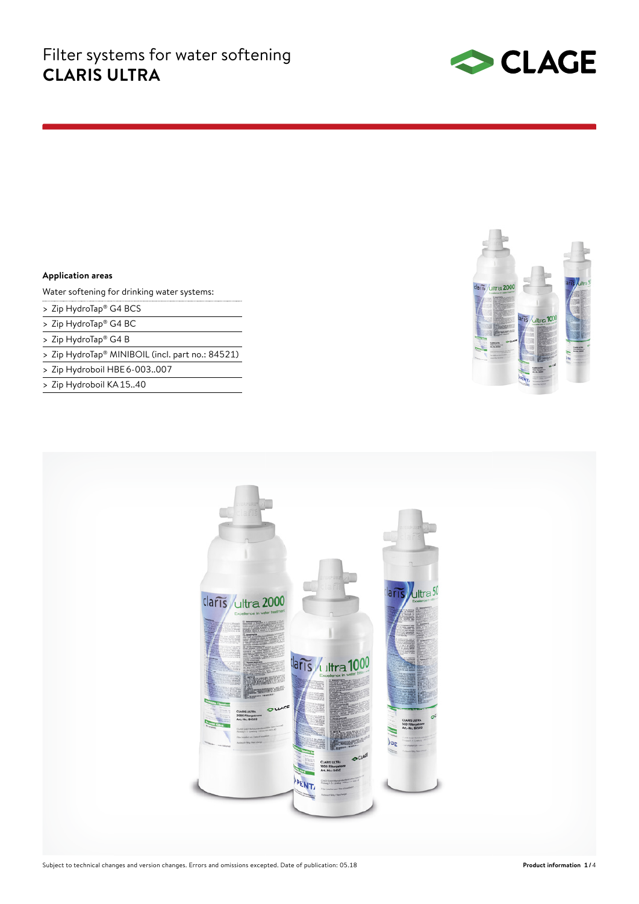

### **Application areas**

Water softening for drinking water systems:

- > Zip HydroTap® G4 BCS
- > Zip HydroTap® G4 BC
- > Zip HydroTap® G4 B
- > Zip HydroTap® MINIBOIL (incl. part no.: 84521)
- > Zip Hydroboil HBE 6-003..007
- > Zip Hydroboil KA 15..40



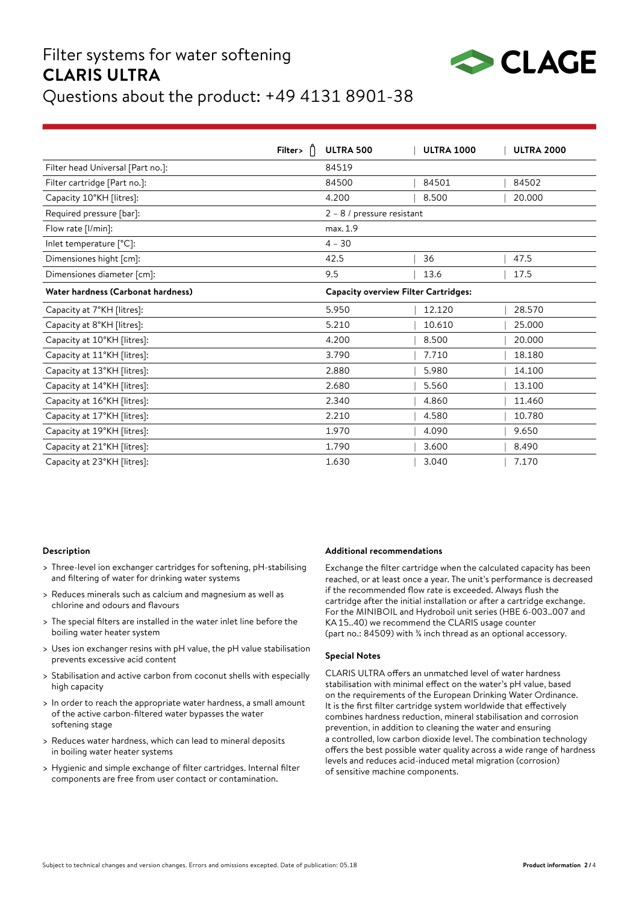# Filter systems for water softening **CLARIS ULTRA**



## Questions about the product: +49 4131 8901-38

|                                    | Filter> | ULTRA 500                                   | <b>ULTRA 1000</b> | <b>ULTRA 2000</b> |
|------------------------------------|---------|---------------------------------------------|-------------------|-------------------|
| Filter head Universal [Part no.]:  |         | 84519                                       |                   |                   |
| Filter cartridge [Part no.]:       |         | 84500                                       | 84501             | 84502             |
| Capacity 10°KH [litres]:           |         | 4.200                                       | 8.500             | 20,000            |
| Required pressure [bar]:           |         | $2 - 8$ / pressure resistant                |                   |                   |
| Flow rate [I/min]:                 |         | max. 1.9                                    |                   |                   |
| Inlet temperature [°C]:            |         | $4 - 30$                                    |                   |                   |
| Dimensiones hight [cm]:            |         | 42.5                                        | 36                | 47.5              |
| Dimensiones diameter [cm]:         |         | 9.5                                         | 13.6              | 17.5              |
| Water hardness (Carbonat hardness) |         | <b>Capacity overview Filter Cartridges:</b> |                   |                   |
| Capacity at 7°KH [litres]:         |         | 5.950                                       | 12.120            | 28.570            |
| Capacity at 8°KH [litres]:         |         | 5.210                                       | 10.610            | 25.000            |
| Capacity at 10°KH [litres]:        |         | 4.200                                       | 8.500             | 20.000            |
| Capacity at 11°KH [litres]:        |         | 3.790                                       | 7.710             | 18.180            |
| Capacity at 13°KH [litres]:        |         | 2.880                                       | 5.980             | 14.100            |
| Capacity at 14°KH [litres]:        |         | 2.680                                       | 5.560             | 13.100            |
| Capacity at 16°KH [litres]:        |         | 2.340                                       | 4.860             | 11.460            |
| Capacity at 17°KH [litres]:        |         | 2.210                                       | 4.580             | 10.780            |
| Capacity at 19°KH [litres]:        |         | 1.970                                       | 4.090             | 9.650             |
| Capacity at 21°KH [litres]:        |         | 1.790                                       | 3.600             | 8.490             |
| Capacity at 23°KH [litres]:        |         | 1.630                                       | 3.040             | 7.170             |

#### **Description**

- > Three-level ion exchanger cartridges for softening, pH-stabilising and filtering of water for drinking water systems
- > Reduces minerals such as calcium and magnesium as well as chlorine and odours and flavours
- > The special filters are installed in the water inlet line before the boiling water heater system
- > Uses ion exchanger resins with pH value, the pH value stabilisation prevents excessive acid content
- > Stabilisation and active carbon from coconut shells with especially high capacity
- > In order to reach the appropriate water hardness, a small amount of the active carbon-filtered water bypasses the water softening stage
- > Reduces water hardness, which can lead to mineral deposits in boiling water heater systems
- > Hygienic and simple exchange of filter cartridges. Internal filter components are free from user contact or contamination.

#### **Additional recommendations**

Exchange the filter cartridge when the calculated capacity has been reached, or at least once a year. The unit's performance is decreased if the recommended flow rate is exceeded. Always flush the cartridge after the initial installation or after a cartridge exchange. For the MINIBOIL and Hydroboil unit series (HBE 6-003..007 and KA15..40) we recommend the CLARIS usage counter (part no.: 84509) with ⅜ inch thread as an optional accessory.

#### **Special Notes**

CLARIS ULTRA offers an unmatched level of water hardness stabilisation with minimal effect on the water's pH value, based on the requirements of the European Drinking Water Ordinance. It is the first filter cartridge system worldwide that effectively combines hardness reduction, mineral stabilisation and corrosion prevention, in addition to cleaning the water and ensuring a controlled, low carbon dioxide level. The combination technology offers the best possible water quality across a wide range of hardness levels and reduces acid-induced metal migration (corrosion) of sensitive machine components.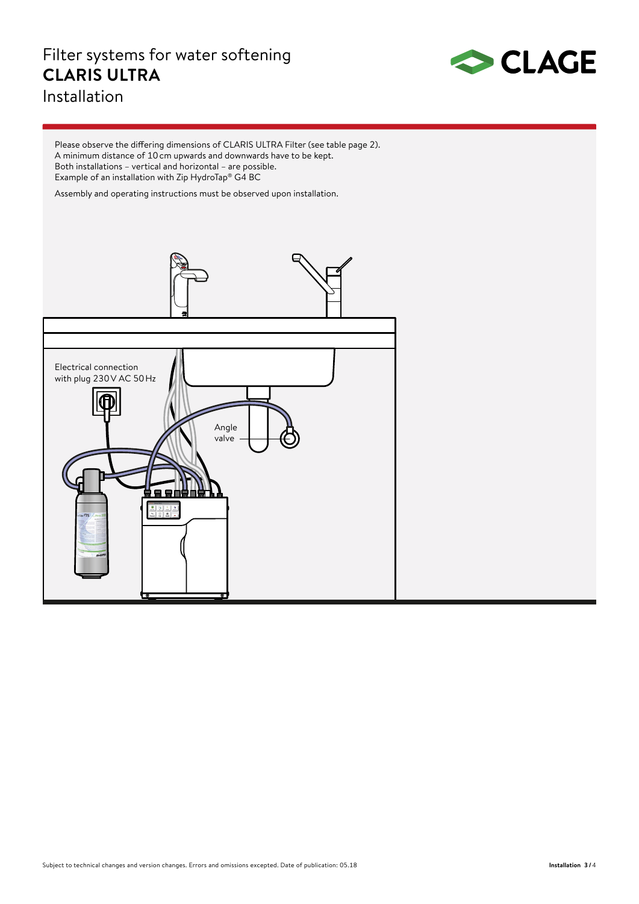### Filter systems for water softening **CLARIS ULTRA** Installation



Please observe the differing dimensions of CLARIS ULTRA Filter (see table page 2). A minimum distance of 10 cm upwards and downwards have to be kept. Both installations – vertical and horizontal – are possible. Example of an installation with Zip HydroTap® G4 BC

Assembly and operating instructions must be observed upon installation.